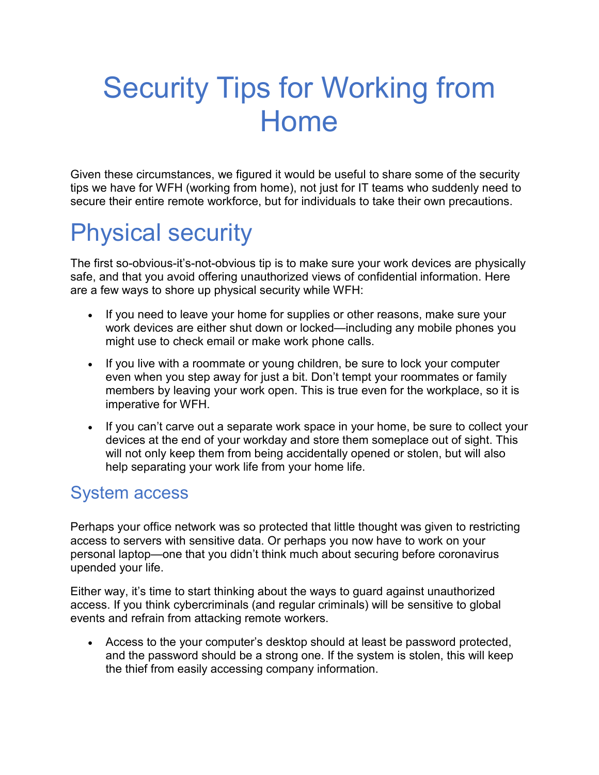# Security Tips for Working from Home

Given these circumstances, we figured it would be useful to share some of the security tips we have for WFH (working from home), not just for [IT teams who suddenly need to](https://blog.malwarebytes.com/business-2/2020/03/remotesec-achieving-on-prem-security-levels-with-cloud-based-remote-teams/)  [secure their entire remote workforce,](https://blog.malwarebytes.com/business-2/2020/03/remotesec-achieving-on-prem-security-levels-with-cloud-based-remote-teams/) but for individuals to take their own precautions.

# Physical security

The first so-obvious-it's-not-obvious tip is to make sure your work devices are physically safe, and that you avoid offering unauthorized views of confidential information. Here are a few ways to shore up physical security while WFH:

- If you need to leave your home for supplies or other reasons, make sure your work devices are either shut down or locked—including any [mobile phones](https://blog.malwarebytes.com/101/2016/09/top-10-ways-to-secure-your-mobile-phone/) you might use to check email or make work phone calls.
- If you live with a roommate or young children, be sure to lock your computer even when you step away for just a bit. Don't tempt your roommates or family members by leaving your work open. This is true even for the workplace, so it is imperative for WFH.
- If you can't carve out a separate work space in your home, be sure to collect your devices at the end of your workday and store them someplace out of sight. This will not only keep them from being accidentally opened or stolen, but will also help separating your work life from your home life.

## System access

Perhaps your office network was so protected that little thought was given to restricting access to servers with sensitive data. Or perhaps you now have to work on your personal laptop—one that you didn't think much about securing before coronavirus upended your life.

Either way, it's time to start thinking about the ways to guard against unauthorized access. If you think cybercriminals (and regular criminals) will be sensitive to global events and refrain from attacking remote workers.

• Access to the your computer's desktop should at least be [password](https://blog.malwarebytes.com/101/2017/05/dont-need-27-different-passwords/) protected, and the password should be a strong one. If the system is stolen, this will keep the thief from easily accessing company information.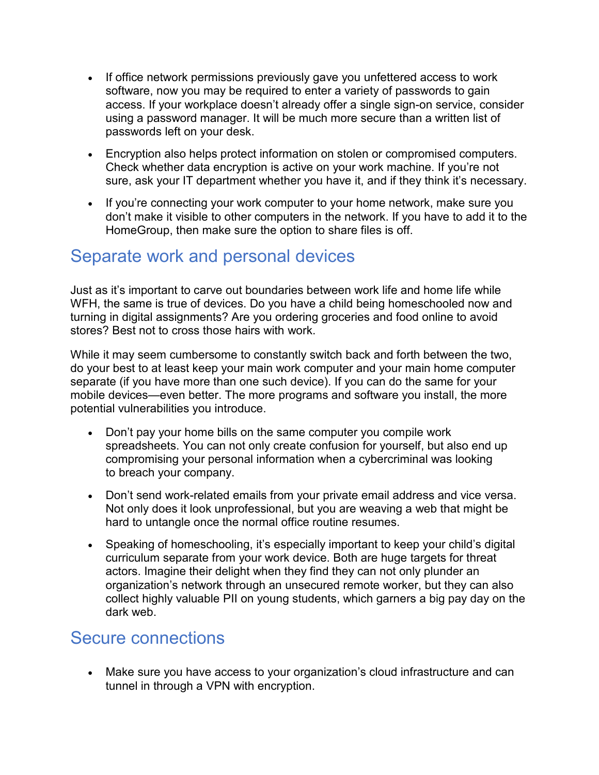- If office network permissions previously gave you unfettered access to work software, now you may be required to enter a variety of passwords to gain access. If your workplace doesn't already offer a [single sign-on service,](https://blog.malwarebytes.com/explained/2020/02/harnessing-the-power-of-identity-management-idaas-in-the-cloud/) consider using a password manager. It will be much more secure than a written list of passwords left on your desk.
- Encryption also helps protect information on stolen or compromised computers. Check whether data encryption is active on your work machine. If you're not sure, ask your IT department whether you have it, and if they think it's necessary.
- If you're connecting your work computer to your home network, make sure you don't make it visible to other computers in the network. If you have to add it to the HomeGroup, then make sure the option to share files is off.

#### Separate work and personal devices

Just as it's important to carve out boundaries between work life and home life while WFH, the same is true of devices. Do you have a child being homeschooled now and turning in digital assignments? Are you ordering groceries and food online to avoid stores? Best not to cross those hairs with work.

While it may seem cumbersome to constantly switch back and forth between the two, do your best to at least keep your main work computer and your main home computer separate (if you have more than one such device). If you can do the same for your mobile devices—even better. The more programs and software you install, the more potential vulnerabilities you introduce.

- Don't pay your home bills on the same computer you compile work spreadsheets. You can not only create confusion for yourself, but also end up compromising your personal information when a cybercriminal was looking to [breach your company.](https://blog.malwarebytes.com/101/2018/12/2018-the-year-of-the-data-breach-tsunami/)
- Don't send work-related emails from your private email address and vice versa. Not only does it look unprofessional, but you are weaving a web that might be hard to untangle once the normal office routine resumes.
- Speaking of homeschooling, it's especially important to keep your child's digital curriculum separate from your work device. Both are huge targets for threat actors. Imagine their delight when they find they can not only plunder an organization's network through an unsecured remote worker, but they can also collect [highly valuable PII on young students,](https://blog.malwarebytes.com/trojans/2019/08/trojans-ransomware-dominate-2018-2019-education-threat-landscape/) which garners a big pay day on the dark web.

#### Secure connections

• Make sure you have access to your organization's cloud infrastructure and can tunnel in through a [VPN with encryption.](https://blog.malwarebytes.com/privacy-2/2020/03/bring-your-own-privacy-vpns-for-consumers-and-orgs/)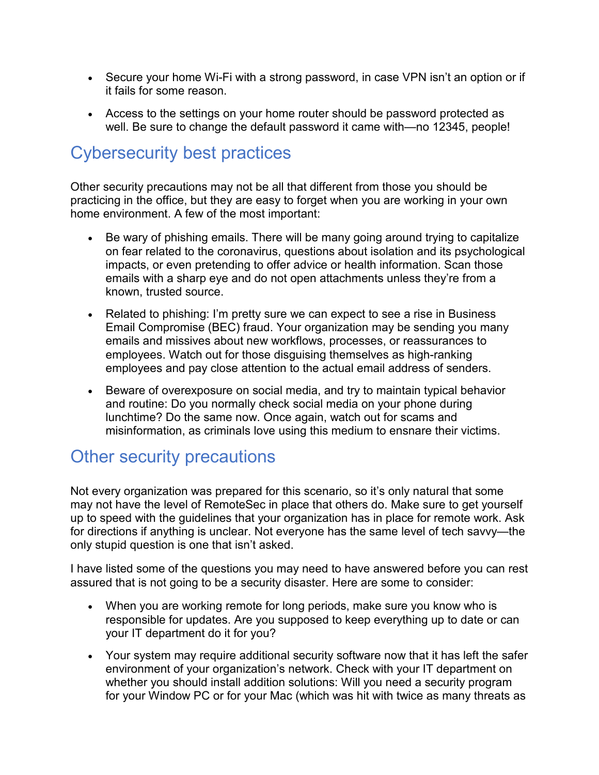- Secure your home Wi-Fi with a strong password, in case VPN isn't an option or if it fails for some reason.
- Access to the settings on your home router should be password protected as well. Be sure to change the default password it came with[—no 12345, people!](https://www.youtube.com/watch?v=a6iW-8xPw3k)

# Cybersecurity best practices

Other security precautions may not be all that different from those you should be practicing in the office, but they are easy to forget when you are working in your own home environment. A few of the most important:

- Be wary of phishing emails. There will be many going around trying to capitalize on fear [related to the coronavirus,](https://blog.malwarebytes.com/social-engineering/2020/02/battling-online-coronavirus-scams-with-facts/) questions about isolation and its psychological impacts, or even pretending to [offer advice or health information.](https://blog.malwarebytes.com/social-engineering/2020/03/cybercriminals-impersonate-world-health-organization-to-distribute-fake-coronavirus-e-book/) Scan those emails with a sharp eye and do not open attachments unless they're from a known, trusted source.
- Related to phishing: I'm pretty sure we can expect to see a rise in [Business](https://blog.malwarebytes.com/cybercrime/2018/11/business-email-compromise-scam-costs-pathe-21-5-million/)  [Email Compromise](https://blog.malwarebytes.com/cybercrime/2018/11/business-email-compromise-scam-costs-pathe-21-5-million/) (BEC) fraud. Your organization may be sending you many emails and missives about new workflows, processes, or reassurances to employees. Watch out for those disguising themselves as high-ranking employees and pay close attention to the actual email address of senders.
- Beware of overexposure on social media, and try to maintain typical behavior and routine: Do you normally check social media on your phone during lunchtime? Do the same now. Once again, watch out for scams and misinformation, as [criminals love using this medium](https://blog.malwarebytes.com/cybercrime/social-engineering-cybercrime/2018/06/social-media-a-treasure-trove-of-spam-and-scams/) to ensnare their victims.

## Other security precautions

Not every organization was prepared for this scenario, so it's only natural that some may not have the level of [RemoteSec](https://blog.malwarebytes.com/business-2/2020/03/remotesec-achieving-on-prem-security-levels-with-cloud-based-remote-teams/) in place that others do. Make sure to get yourself up to speed with the guidelines that your organization has in place for remote work. Ask for directions if anything is unclear. Not everyone has the same level of tech savvy—the only stupid question is one that isn't asked.

I have listed some of the questions you may need to have answered before you can rest assured that is not going to be a security disaster. Here are some to consider:

- When you are working remote for long periods, make sure you know who is responsible for updates. Are you supposed to keep everything up to date or can your IT department do it for you?
- Your system may require additional security software now that it has left the safer environment of your organization's network. Check with your IT department on whether you should install addition solutions: Will you need [a security program](http://www.malwarebytes.com/premium)  [for your Window PC](http://www.malwarebytes.com/premium) or for [your Mac](http://www.malwarebytes.com/mac) (which was hit with [twice as many threats](https://blog.malwarebytes.com/reports/2020/02/malwarebytes-labs-releases-2020-state-of-malware-report/) as